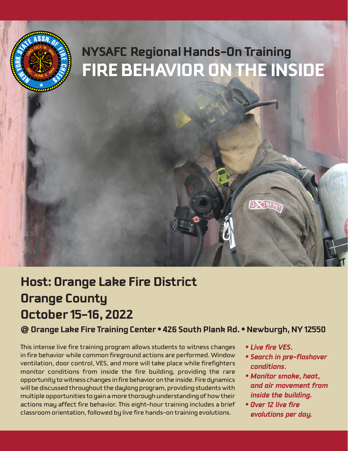

# **Host: Orange Lake Fire District Orange County October 15-16, 2022**

**@ Orange Lake Fire Training Center • 426 South Plank Rd. • Newburgh, NY 12550**

This intense live fire training program allows students to witness changes in fire behavior while common fireground actions are performed. Window ventilation, door control, VES, and more will take place while firefighters monitor conditions from inside the fire building, providing the rare opportunity to witness changes in fire behavior on the inside. Fire dynamics will be discussed throughout the daylong program, providing students with multiple opportunities to gain a more thorough understanding of how their actions may affect fire behavior. This eight-hour training includes a brief classroom orientation, followed by live fire hands-on training evolutions.

- *Live fire VES.*
- *Search in pre-flashover conditions.*
- *Monitor smoke, heat, and air movement from inside the building.*
- *Over 12 live fire evolutions per day.*